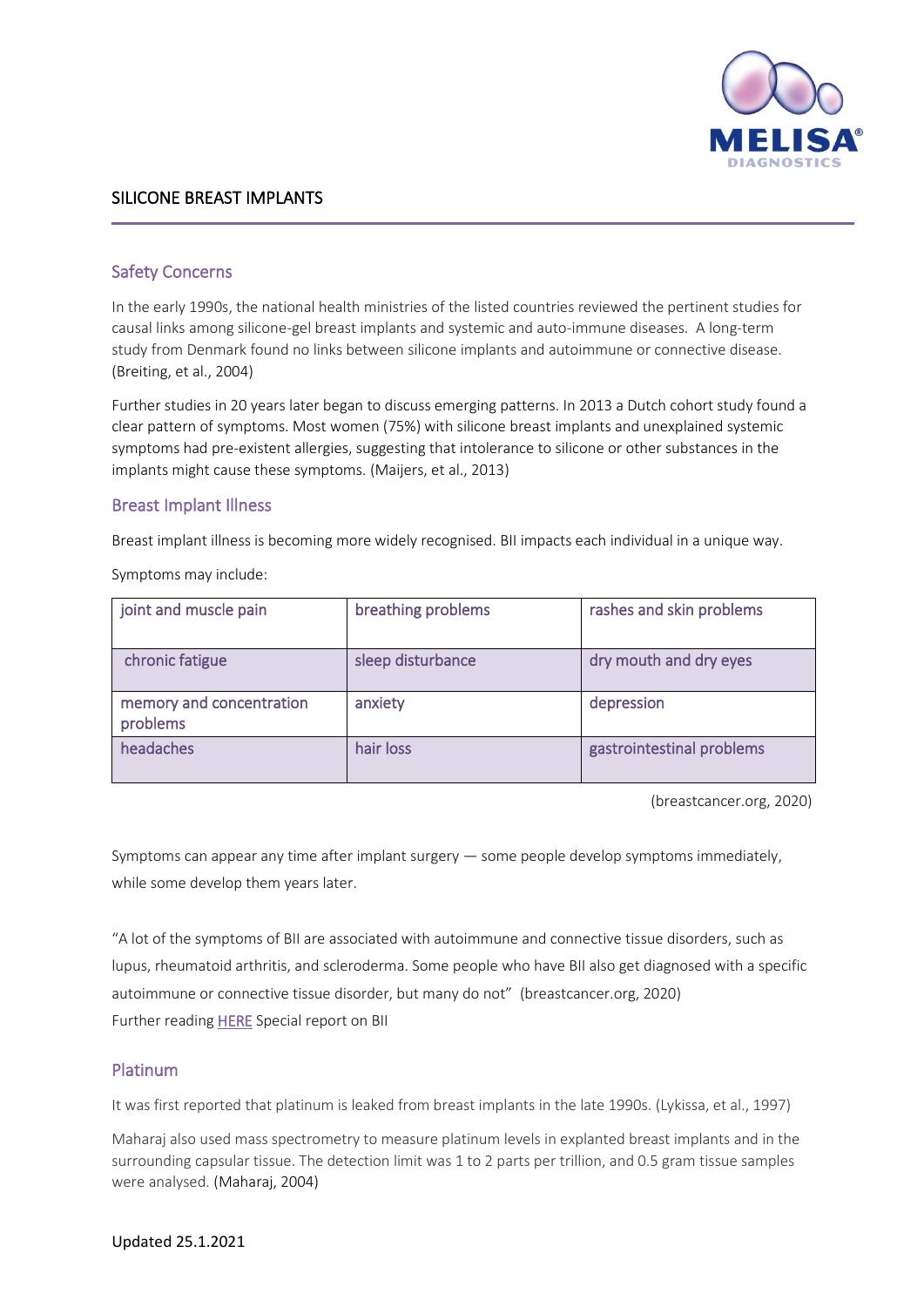

## SILICONE BREAST IMPLANTS

## Safety Concerns

In the early 1990s, the national health ministries of the listed countries reviewed the pertinent studies for causal links among silicone-gel breast implants and systemic and auto-immune diseases. A long-term study from Denmark found no links between silicone implants and autoimmune or connective disease. (Breiting, et al., 2004)

Further studies in 20 years later began to discuss emerging patterns. In 2013 a Dutch cohort study found a clear pattern of symptoms. Most women (75%) with silicone breast implants and unexplained systemic symptoms had pre-existent allergies, suggesting that intolerance to silicone or other substances in the implants might cause these symptoms. (Maijers, et al., 2013)

#### Breast Implant Illness

Breast implant illness is becoming more widely recognised. BII impacts each individual in a unique way.

Symptoms may include:

| joint and muscle pain                | breathing problems | rashes and skin problems  |
|--------------------------------------|--------------------|---------------------------|
| chronic fatigue                      | sleep disturbance  | dry mouth and dry eyes    |
| memory and concentration<br>problems | anxiety            | depression                |
| headaches                            | hair loss          | gastrointestinal problems |

(breastcancer.org, 2020)

Symptoms can appear any time after implant surgery — some people develop symptoms immediately, while some develop them years later.

"A lot of the symptoms of BII are associated with autoimmune and connective tissue disorders, such as lupus, rheumatoid arthritis, and scleroderma. Some people who have BII also get diagnosed with a specific autoimmune or connective tissue disorder, but many do not" (breastcancer.org, 2020) Further reading **HERE** Special report on BII

### Platinum

It was first reported that platinum is leaked from breast implants in the late 1990s. (Lykissa, et al., 1997)

Maharaj also used mass spectrometry to measure platinum levels in explanted breast implants and in the surrounding capsular tissue. The detection limit was 1 to 2 parts per trillion, and 0.5 gram tissue samples were analysed. (Maharaj, 2004)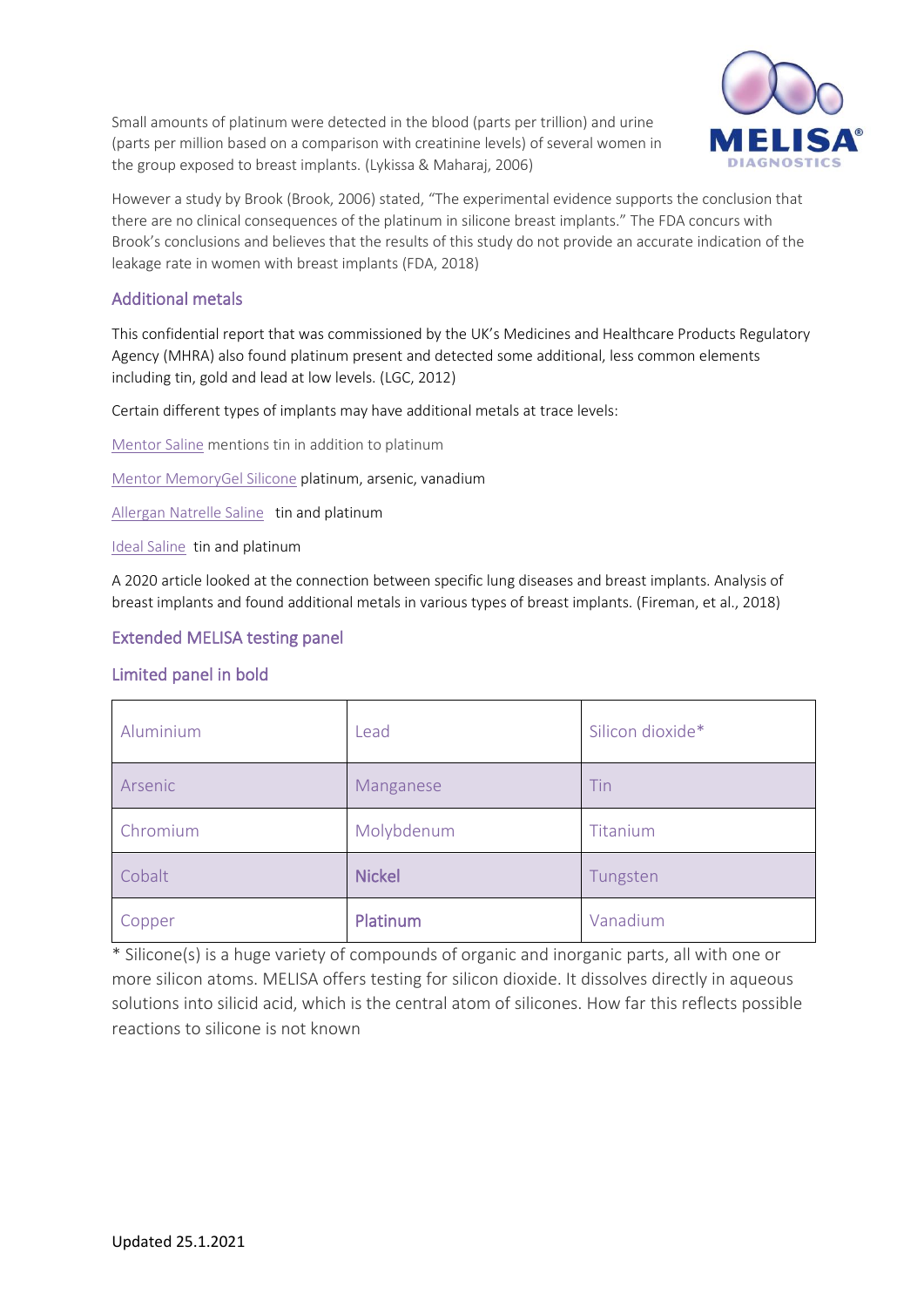Small amounts of platinum were detected in the blood (parts per trillion) and urine (parts per million based on a comparison with creatinine levels) of several women in the group exposed to breast implants. (Lykissa & Maharaj, 2006)



However a study by Brook (Brook, 2006) stated, "The experimental evidence supports the conclusion that there are no clinical consequences of the platinum in silicone breast implants." The FDA concurs with Brook's conclusions and believes that the results of this study do not provide an accurate indication of the leakage rate in women with breast implants (FDA, 2018)

# Additional metals

This confidential report that was commissioned by the UK's Medicines and Healthcare Products Regulatory Agency (MHRA) also found platinum present and detected some additional, less common elements including tin, gold and lead at low levels. (LGC, 2012)

Certain different types of implants may have additional metals at trace levels:

[Mentor Saline](https://www.accessdata.fda.gov/cdrh_docs/pdf/P990075B.pdf) mentions tin in addition to platinum

[Mentor MemoryGel Silicone](https://www.accessdata.fda.gov/cdrh_docs/pdf3/P030053B.pdf) platinum, arsenic, vanadium

[Allergan Natrelle Saline](https://www.accessdata.fda.gov/cdrh_docs/pdf/P990074B.pdf) tin and platinum

[Ideal Saline](https://www.accessdata.fda.gov/cdrh_docs/pdf12/P120011B.pdf) tin and platinum

A 2020 article looked at the connection between specific lung diseases and breast implants. Analysis of breast implants and found additional metals in various types of breast implants. (Fireman, et al., 2018)

# Extended MELISA testing panel

## Limited panel in bold

| Aluminium | Lead          | Silicon dioxide* |
|-----------|---------------|------------------|
| Arsenic   | Manganese     | Tin              |
| Chromium  | Molybdenum    | Titanium         |
| Cobalt    | <b>Nickel</b> | Tungsten         |
| Copper    | Platinum      | Vanadium         |

\* Silicone(s) is a huge variety of compounds of organic and inorganic parts, all with one or more silicon atoms. MELISA offers testing for silicon dioxide. It dissolves directly in aqueous solutions into silicid acid, which is the central atom of silicones. How far this reflects possible reactions to silicone is not known